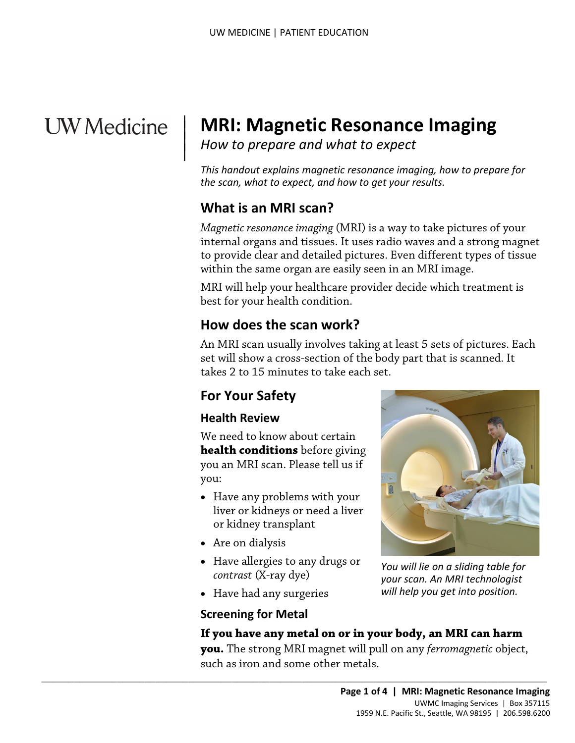# **UW** Medicine

 $\vert$  $\parallel$ 

# | **MRI: Magnetic Resonance Imaging**

*How to prepare and what to expect* 

*This handout explains magnetic resonance imaging, how to prepare for the scan, what to expect, and how to get your results.* 

## **What is an MRI scan?**

*Magnetic resonance imaging* (MRI) is a way to take pictures of your internal organs and tissues. It uses radio waves and a strong magnet to provide clear and detailed pictures. Even different types of tissue within the same organ are easily seen in an MRI image.

 best for your health condition. MRI will help your healthcare provider decide which treatment is

## **How does the scan work?**

 set will show a cross-section of the body part that is scanned. It takes 2 to 15 minutes to take each set. MRI will help your healthcare provider decide which treatment<br>best for your health condition.<br>**How does the scan work?**<br>An MRI scan usually involves taking at least 5 sets of pictures. I<br>set will show a cross-section of th An MRI scan usually involves taking at least 5 sets of pictures. Each

# **For Your Safety**

#### **Health Review**

We need to know about certain **health conditions** before giving you an MRI scan. Please tell us if you:

- Have any problems with your liver or kidneys or need a liver or kidney transplant
- Are on dialysis
- *contrast* (X-ray dye) • Have allergies to any drugs or

 $\_$  , and the set of the set of the set of the set of the set of the set of the set of the set of the set of the set of the set of the set of the set of the set of the set of the set of the set of the set of the set of th

• Have had any surgeries

#### **Screening for Metal**

# **If you have any metal on or in your body, an MRI can harm**

 **you.** The strong MRI magnet will pull on any *ferromagnetic* object, such as iron and some other metals.



*You will lie on a sliding table for your scan. An MRI technologist will help you get into position.*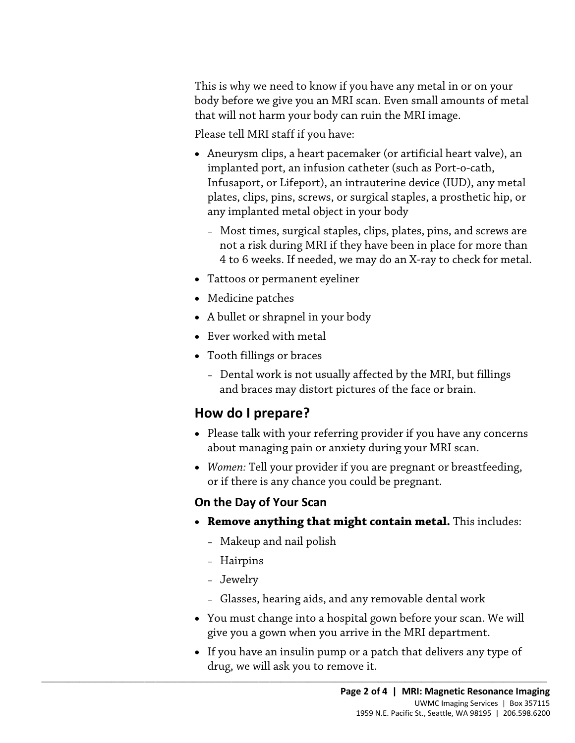This is why we need to know if you have any metal in or on your body before we give you an MRI scan. Even small amounts of metal that will not harm your body can ruin the MRI image.

Please tell MRI staff if you have:

- Aneurysm clips, a heart pacemaker (or artificial heart valve), an implanted port, an infusion catheter (such as Port-o-cath, Infusaport, or Lifeport), an intrauterine device (IUD), any metal plates, clips, pins, screws, or surgical staples, a prosthetic hip, or any implanted metal object in your body
	- Most times, surgical staples, clips, plates, pins, and screws are not a risk during MRI if they have been in place for more than 4 to 6 weeks. If needed, we may do an X-ray to check for metal.
- Tattoos or permanent eyeliner
- Medicine patches
- A bullet or shrapnel in your body
- Ever worked with metal
- Tooth fillings or braces
- Medicine patches<br>
 A bullet or shrapnel in your body<br>
 Ever worked with metal<br>
 Tooth fillings or braces<br>
 Dental work is not usually affected by the MRI, but fillings<br>
and braces may distort pictures of the face or – Dental work is not usually affected by the MRI, but fillings and braces may distort pictures of the face or brain.

## **How do I prepare?**

- • Please talk with your referring provider if you have any concerns about managing pain or anxiety during your MRI scan.
- *Women:* Tell your provider if you are pregnant or breastfeeding, or if there is any chance you could be pregnant.

#### **On the Day of Your Scan**

- • **Remove anything that might contain metal.** This includes:
	- Makeup and nail polish

 $\_$  , and the set of the set of the set of the set of the set of the set of the set of the set of the set of the set of the set of the set of the set of the set of the set of the set of the set of the set of the set of th

- Hairpins
- Jewelry
- Glasses, hearing aids, and any removable dental work
- You must change into a hospital gown before your scan. We will give you a gown when you arrive in the MRI department.
- drug, we will ask you to remove it. • If you have an insulin pump or a patch that delivers any type of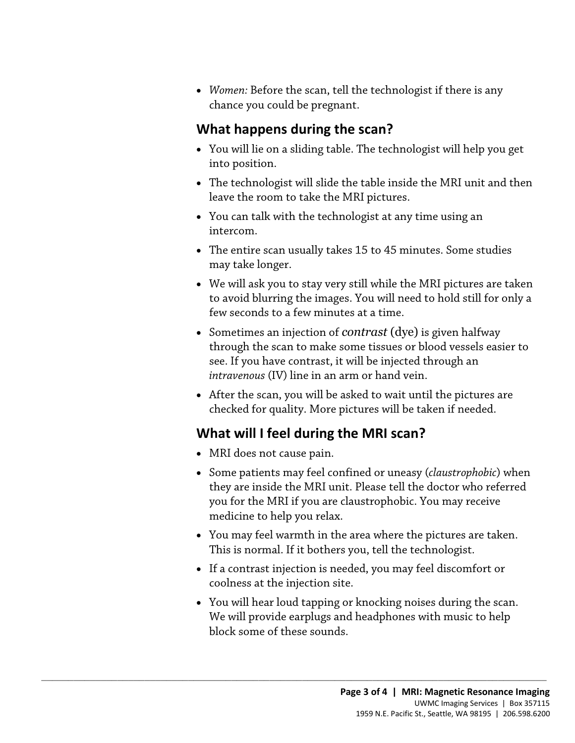• *Women:* Before the scan, tell the technologist if there is any chance you could be pregnant.

## **What happens during the scan?**

- You will lie on a sliding table. The technologist will help you get into position.
- The technologist will slide the table inside the MRI unit and then leave the room to take the MRI pictures.
- You can talk with the technologist at any time using an intercom.
- The entire scan usually takes 15 to 45 minutes. Some studies may take longer.
- • We will ask you to stay very still while the MRI pictures are taken to avoid blurring the images. You will need to hold still for only a few seconds to a few minutes at a time.
- to avoid blurring the images. You will need to hold still for only<br>few seconds to a few minutes at a time.<br>• Sometimes an injection of *contrast* (dye) is given halfway<br>through the scan to make some tissues or blood vessel • Sometimes an injection of *contrast* (dye) is given halfway through the scan to make some tissues or blood vessels easier to see. If you have contrast, it will be injected through an *intravenous* (IV) line in an arm or hand vein.
	- After the scan, you will be asked to wait until the pictures are checked for quality. More pictures will be taken if needed.

## **What will I feel during the MRI scan?**

 $\_$  ,  $\_$  ,  $\_$  ,  $\_$  ,  $\_$  ,  $\_$  ,  $\_$  ,  $\_$  ,  $\_$  ,  $\_$  ,  $\_$  ,  $\_$  ,  $\_$  ,  $\_$  ,  $\_$  ,  $\_$  ,  $\_$  ,  $\_$  ,  $\_$  ,  $\_$  ,  $\_$  ,  $\_$  ,  $\_$  ,  $\_$  ,  $\_$  ,  $\_$  ,  $\_$  ,  $\_$  ,  $\_$  ,  $\_$  ,  $\_$  ,  $\_$  ,  $\_$  ,  $\_$  ,  $\_$  ,  $\_$  ,  $\_$  ,

- MRI does not cause pain.
- Some patients may feel confined or uneasy (*claustrophobic*) when they are inside the MRI unit. Please tell the doctor who referred you for the MRI if you are claustrophobic. You may receive medicine to help you relax.
- • You may feel warmth in the area where the pictures are taken. This is normal. If it bothers you, tell the [technologist.](javascript:glossAry()
- If a contrast injection is needed, you may feel discomfort or coolness at the injection site.
- • You will hear loud tapping or knocking noises during the scan. We will provide earplugs and headphones with music to help block some of these sounds.